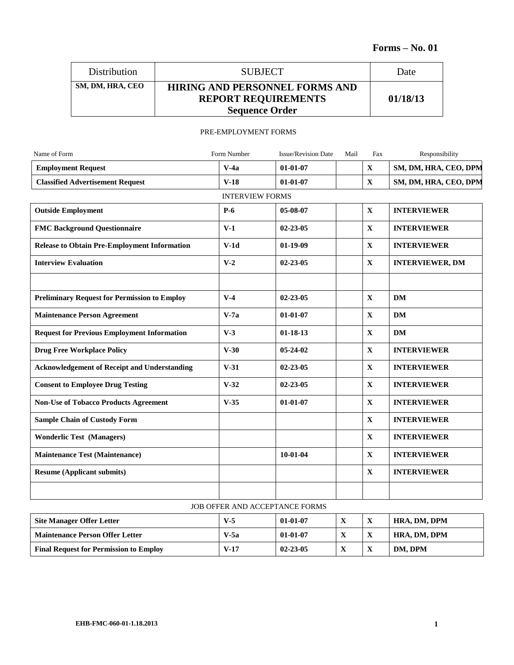| <b>Distribution</b> | <b>SUBJECT</b>                                                                               | Date     |
|---------------------|----------------------------------------------------------------------------------------------|----------|
| SM, DM, HRA, CEO    | <b>HIRING AND PERSONNEL FORMS AND</b><br><b>REPORT REQUIREMENTS</b><br><b>Sequence Order</b> | 01/18/13 |

### PRE-EMPLOYMENT FORMS

| Name of Form                                        | Form Number            | <b>Issue/Revision Date</b> | Mail | Fax          | Responsibility         |
|-----------------------------------------------------|------------------------|----------------------------|------|--------------|------------------------|
| <b>Employment Request</b>                           | $V-4a$                 | $01-01-07$                 |      | $\mathbf X$  | SM, DM, HRA, CEO, DPM  |
| <b>Classified Advertisement Request</b>             | $V-18$                 | $01-01-07$                 |      | $\mathbf X$  | SM, DM, HRA, CEO, DPM  |
|                                                     | <b>INTERVIEW FORMS</b> |                            |      |              |                        |
| <b>Outside Employment</b>                           | $P-6$                  | 05-08-07                   |      | $\mathbf{X}$ | <b>INTERVIEWER</b>     |
| <b>FMC Background Questionnaire</b>                 | $V-1$                  | $02 - 23 - 05$             |      | $\mathbf{X}$ | <b>INTERVIEWER</b>     |
| <b>Release to Obtain Pre-Employment Information</b> | $V-1d$                 | $01-19-09$                 |      | $\mathbf{X}$ | <b>INTERVIEWER</b>     |
| <b>Interview Evaluation</b>                         | $V-2$                  | $02 - 23 - 05$             |      | $\mathbf{X}$ | <b>INTERVIEWER, DM</b> |
|                                                     |                        |                            |      |              |                        |
| <b>Preliminary Request for Permission to Employ</b> | $V-4$                  | $02 - 23 - 05$             |      | $\mathbf{X}$ | <b>DM</b>              |
| <b>Maintenance Person Agreement</b>                 | $V-7a$                 | $01 - 01 - 07$             |      | $\mathbf X$  | <b>DM</b>              |
| <b>Request for Previous Employment Information</b>  | $V-3$                  | $01 - 18 - 13$             |      | $\mathbf{X}$ | <b>DM</b>              |
| <b>Drug Free Workplace Policy</b>                   | $V-30$                 | $05 - 24 - 02$             |      | $\mathbf{X}$ | <b>INTERVIEWER</b>     |
| <b>Acknowledgement of Receipt and Understanding</b> | $V-31$                 | $02 - 23 - 05$             |      | $\mathbf X$  | <b>INTERVIEWER</b>     |
| <b>Consent to Employee Drug Testing</b>             | $V-32$                 | $02 - 23 - 05$             |      | $\mathbf X$  | <b>INTERVIEWER</b>     |
| <b>Non-Use of Tobacco Products Agreement</b>        | $V-35$                 | $01 - 01 - 07$             |      | $\mathbf{X}$ | <b>INTERVIEWER</b>     |
| <b>Sample Chain of Custody Form</b>                 |                        |                            |      | $\mathbf X$  | <b>INTERVIEWER</b>     |
| <b>Wonderlic Test (Managers)</b>                    |                        |                            |      | $\mathbf X$  | <b>INTERVIEWER</b>     |
| <b>Maintenance Test (Maintenance)</b>               |                        | $10-01-04$                 |      | $\mathbf{X}$ | <b>INTERVIEWER</b>     |
| <b>Resume (Applicant submits)</b>                   |                        |                            |      | $\mathbf X$  | <b>INTERVIEWER</b>     |
|                                                     |                        |                            |      |              |                        |

### JOB OFFER AND ACCEPTANCE FORMS

| <b>Site Manager Offer Letter</b>              | $V-5$  | $01 - 01 - 07$ | -48 | $\Lambda$ | HRA, DM, DPM |
|-----------------------------------------------|--------|----------------|-----|-----------|--------------|
| <b>Maintenance Person Offer Letter</b>        | V-5a   | $01 - 01 - 07$ | -48 |           | HRA, DM, DPM |
| <b>Final Request for Permission to Employ</b> | $V-17$ | $02 - 23 - 05$ | -43 | X         | DM. DPM      |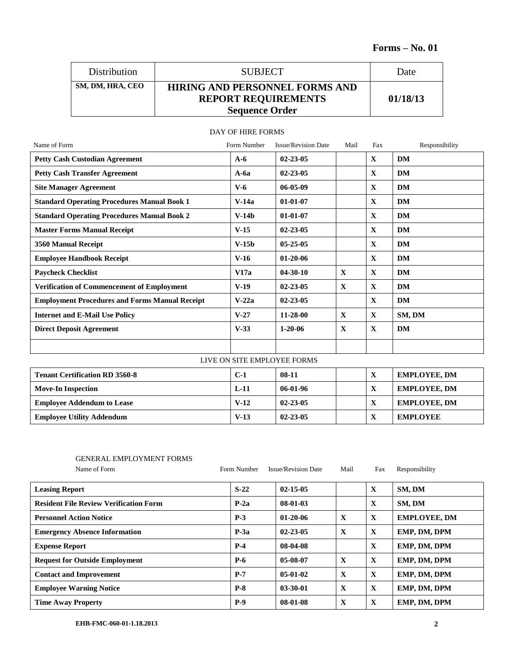| Distribution     | <b>SUBJECT</b>                                                                               | Date     |
|------------------|----------------------------------------------------------------------------------------------|----------|
| SM, DM, HRA, CEO | <b>HIRING AND PERSONNEL FORMS AND</b><br><b>REPORT REQUIREMENTS</b><br><b>Sequence Order</b> | 01/18/13 |

| Name of Form                                          | Form Number                 | <b>Issue/Revision Date</b> | Mail         | Fax          | Responsibility      |
|-------------------------------------------------------|-----------------------------|----------------------------|--------------|--------------|---------------------|
| <b>Petty Cash Custodian Agreement</b>                 | $A-6$                       | $02 - 23 - 05$             |              | $\mathbf{X}$ | <b>DM</b>           |
| <b>Petty Cash Transfer Agreement</b>                  | $A-6a$                      | $02 - 23 - 05$             |              | $\mathbf{X}$ | DM                  |
| <b>Site Manager Agreement</b>                         | $V-6$                       | $06 - 05 - 09$             |              | $\mathbf{X}$ | <b>DM</b>           |
| <b>Standard Operating Procedures Manual Book 1</b>    | $V-14a$                     | $01-01-07$                 |              | $\mathbf{x}$ | <b>DM</b>           |
| <b>Standard Operating Procedures Manual Book 2</b>    | $V-14b$                     | $01-01-07$                 |              | X            | <b>DM</b>           |
| <b>Master Forms Manual Receipt</b>                    | $V-15$                      | $02 - 23 - 05$             |              | $\mathbf{X}$ | <b>DM</b>           |
| 3560 Manual Receipt                                   | $V-15b$                     | $05 - 25 - 05$             |              | $\mathbf{X}$ | DM                  |
| <b>Employee Handbook Receipt</b>                      | $V-16$                      | $01 - 20 - 06$             |              | $\mathbf{X}$ | DM                  |
| <b>Paycheck Checklist</b>                             | V17a                        | $04 - 30 - 10$             | $\mathbf{X}$ | $\mathbf x$  | DM                  |
| <b>Verification of Commencement of Employment</b>     | $V-19$                      | $02 - 23 - 05$             | $\mathbf{x}$ | $\mathbf{X}$ | DM                  |
| <b>Employment Procedures and Forms Manual Receipt</b> | $V-22a$                     | $02 - 23 - 05$             |              | $\mathbf{x}$ | DM                  |
| <b>Internet and E-Mail Use Policy</b>                 | $V-27$                      | $11 - 28 - 00$             | $\mathbf{X}$ | $\mathbf{X}$ | SM, DM              |
| <b>Direct Deposit Agreement</b>                       | $V-33$                      | $1 - 20 - 06$              | $\mathbf{X}$ | $\mathbf{X}$ | <b>DM</b>           |
|                                                       |                             |                            |              |              |                     |
|                                                       | LIVE ON SITE EMPLOYEE FORMS |                            |              |              |                     |
| <b>Tenant Certification RD 3560-8</b>                 | $C-1$                       | 08-11                      |              | $\mathbf{X}$ | <b>EMPLOYEE, DM</b> |

# DAY OF HIRE FORMS

| <b>Tenant Certification RD 3560-8</b> | $C-1$  | $08-11$        | л | <b>EMPLOYEE, DM</b> |
|---------------------------------------|--------|----------------|---|---------------------|
| <b>Move-In Inspection</b>             | $L-11$ | 06-01-96       | X | <b>EMPLOYEE, DM</b> |
| <b>Employee Addendum to Lease</b>     | $V-12$ | $02 - 23 - 05$ | X | <b>EMPLOYEE, DM</b> |
| <b>Employee Utility Addendum</b>      | $V-13$ | $02 - 23 - 05$ | л | <b>EMPLOYEE</b>     |

## GENERAL EMPLOYMENT FORMS

| Name of Form                                  | Form Number | <b>Issue/Revision Date</b> | Mail         | Fax          | Responsibility      |
|-----------------------------------------------|-------------|----------------------------|--------------|--------------|---------------------|
| <b>Leasing Report</b>                         | $S-22$      | $02 - 15 - 05$             |              | $\mathbf{X}$ | SM, DM              |
| <b>Resident File Review Verification Form</b> | $P-2a$      | $08-01-03$                 |              | X            | SM, DM              |
| <b>Personnel Action Notice</b>                | $P-3$       | $01 - 20 - 06$             | X            | $\mathbf{X}$ | <b>EMPLOYEE, DM</b> |
| <b>Emergency Absence Information</b>          | $P-3a$      | $02 - 23 - 05$             | X            | $\mathbf{X}$ | EMP, DM, DPM        |
| <b>Expense Report</b>                         | $P-4$       | 08-04-08                   |              | $\mathbf{X}$ | EMP, DM, DPM        |
| <b>Request for Outside Employment</b>         | <b>P-6</b>  | 05-08-07                   | $\mathbf{X}$ | X            | EMP, DM, DPM        |
| <b>Contact and Improvement</b>                | $P-7$       | $05-01-02$                 | X            | $\mathbf{X}$ | EMP, DM, DPM        |
| <b>Employee Warning Notice</b>                | $P-8$       | $03 - 30 - 01$             | X            | X            | EMP, DM, DPM        |
| <b>Time Away Property</b>                     | $P-9$       | $08-01-08$                 | X            | X            | EMP, DM, DPM        |